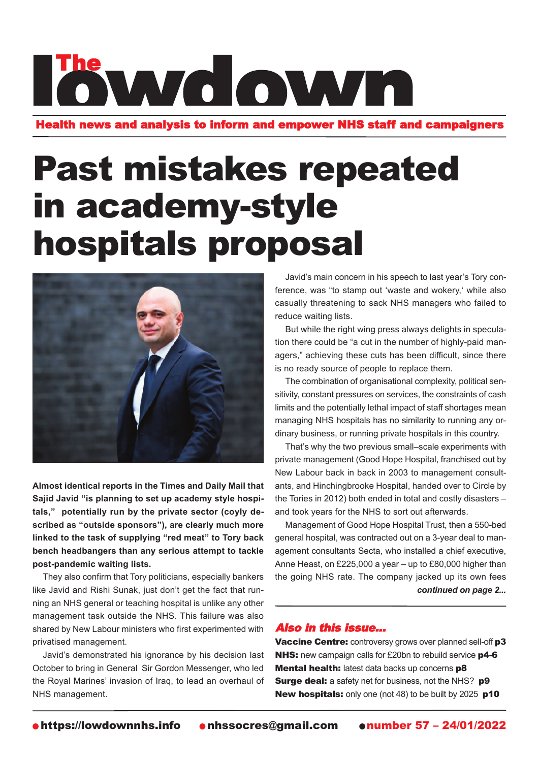Health news and analysis to inform and empower NHS staff and campaigners

### Past mistakes repeated in academy-style hospitals proposal



**Almost identical reports in the Times and Daily Mail that Sajid Javid "is planning to set up academy style hospitals," potentially run by the private sector (coyly described as "outside sponsors"), are clearly much more linked to the task of supplying "red meat" to Tory back bench headbangers than any serious attempt to tackle post-pandemic waiting lists.**

They also confirm that Tory politicians, especially bankers like Javid and Rishi Sunak, just don't get the fact that running an NHS general or teaching hospital is unlike any other management task outside the NHS. This failure was also shared by New Labour ministers who first experimented with privatised management.

Javid's demonstrated his ignorance by his decision last October to bring in General Sir Gordon Messenger, who led the Royal Marines' invasion of Iraq, to lead an overhaul of NHS management.

Javid's main concern in his speech to last year's Tory conference, was "to stamp out 'waste and wokery,' while also casually threatening to sack NHS managers who failed to reduce waiting lists.

But while the right wing press always delights in speculation there could be "a cut in the number of highly-paid managers," achieving these cuts has been difficult, since there is no ready source of people to replace them.

The combination of organisational complexity, political sensitivity, constant pressures on services, the constraints of cash limits and the potentially lethal impact of staff shortages mean managing NHS hospitals has no similarity to running any ordinary business, or running private hospitals in this country.

That's why the two previous small–scale experiments with private management (Good Hope Hospital, franchised out by New Labour back in back in 2003 to management consultants, and Hinchingbrooke Hospital, handed over to Circle by the Tories in 2012) both ended in total and costly disasters – and took years for the NHS to sort out afterwards.

Management of Good Hope Hospital Trust, then a 550-bed general hospital, was contracted out on a 3-year deal to management consultants Secta, who installed a chief executive, Anne Heast, on £225,000 a year – up to £80,000 higher than the going NHS rate. The company jacked up its own fees *continued on page 2...*

### Also in this issue...

Vaccine Centre: controversy grows over planned sell-off p3 NHS: new campaign calls for £20bn to rebuild service p4-6 Mental health: latest data backs up concerns p8 **Surge deal:** a safety net for business, not the NHS? **p9** New hospitals: only one (not 48) to be built by 2025 p10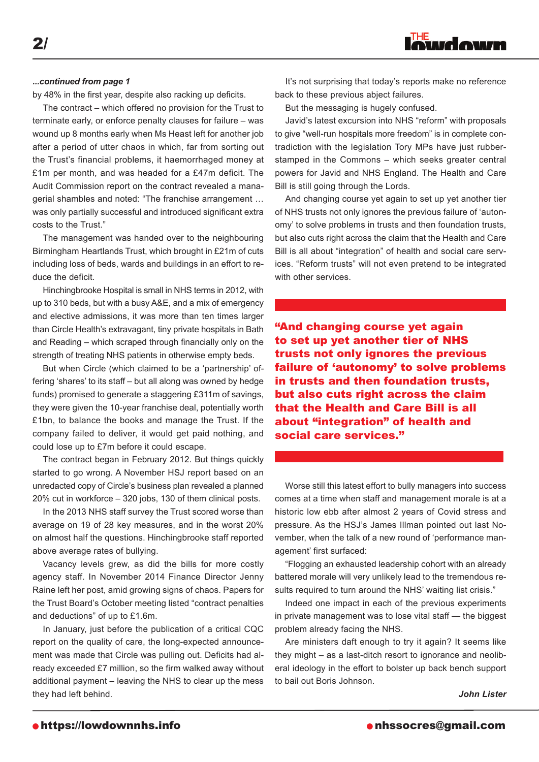by 48% in the first year, despite also racking up deficits.

The contract – which offered no provision for the Trust to terminate early, or enforce penalty clauses for failure – was wound up 8 months early when Ms Heast left for another job after a period of utter chaos in which, far from sorting out the Trust's financial problems, it haemorrhaged money at £1m per month, and was headed for a £47m deficit. The Audit Commission report on the contract revealed a managerial shambles and noted: "The franchise arrangement … was only partially successful and introduced significant extra costs to the Trust."

The management was handed over to the neighbouring Birmingham Heartlands Trust, which brought in £21m of cuts including loss of beds, wards and buildings in an effort to reduce the deficit.

Hinchingbrooke Hospital is small in NHS terms in 2012, with up to 310 beds, but with a busy A&E, and a mix of emergency and elective admissions, it was more than ten times larger than Circle Health's extravagant, tiny private hospitals in Bath and Reading – which scraped through financially only on the strength of treating NHS patients in otherwise empty beds.

But when Circle (which claimed to be a 'partnership' offering 'shares' to its staff – but all along was owned by hedge funds) promised to generate a staggering £311m of savings, they were given the 10-year franchise deal, potentially worth £1bn, to balance the books and manage the Trust. If the company failed to deliver, it would get paid nothing, and could lose up to £7m before it could escape.

The contract began in February 2012. But things quickly started to go wrong. A November HSJ report based on an unredacted copy of Circle's business plan revealed a planned 20% cut in workforce – 320 jobs, 130 of them clinical posts.

In the 2013 NHS staff survey the Trust scored worse than average on 19 of 28 key measures, and in the worst 20% on almost half the questions. Hinchingbrooke staff reported above average rates of bullying.

Vacancy levels grew, as did the bills for more costly agency staff. In November 2014 Finance Director Jenny Raine left her post, amid growing signs of chaos. Papers for the Trust Board's October meeting listed "contract penalties and deductions" of up to £1.6m.

In January, just before the publication of a critical CQC report on the quality of care, the long-expected announcement was made that Circle was pulling out. Deficits had already exceeded £7 million, so the firm walked away without additional payment – leaving the NHS to clear up the mess they had left behind.

*...continued from page 1* The *interprising that today's reports make no reference* back to these previous abject failures.

But the messaging is hugely confused.

Javid's latest excursion into NHS "reform" with proposals to give "well-run hospitals more freedom" is in complete contradiction with the legislation Tory MPs have just rubberstamped in the Commons – which seeks greater central powers for Javid and NHS England. The Health and Care Bill is still going through the Lords.

And changing course yet again to set up yet another tier of NHS trusts not only ignores the previous failure of 'autonomy' to solve problems in trusts and then foundation trusts, but also cuts right across the claim that the Health and Care Bill is all about "integration" of health and social care services. "Reform trusts" will not even pretend to be integrated with other services.

"And changing course yet again to set up yet another tier of NHS trusts not only ignores the previous failure of 'autonomy' to solve problems in trusts and then foundation trusts, but also cuts right across the claim that the Health and Care Bill is all about "integration" of health and social care services."

Worse still this latest effort to bully managers into success comes at a time when staff and management morale is at a historic low ebb after almost 2 years of Covid stress and pressure. As the HSJ's James Illman pointed out last November, when the talk of a new round of 'performance management' first surfaced:

"Flogging an exhausted leadership cohort with an already battered morale will very unlikely lead to the tremendous results required to turn around the NHS' waiting list crisis."

Indeed one impact in each of the previous experiments in private management was to lose vital staff — the biggest problem already facing the NHS.

Are ministers daft enough to try it again? It seems like they might – as a last-ditch resort to ignorance and neoliberal ideology in the effort to bolster up back bench support to bail out Boris Johnson.

*John Lister*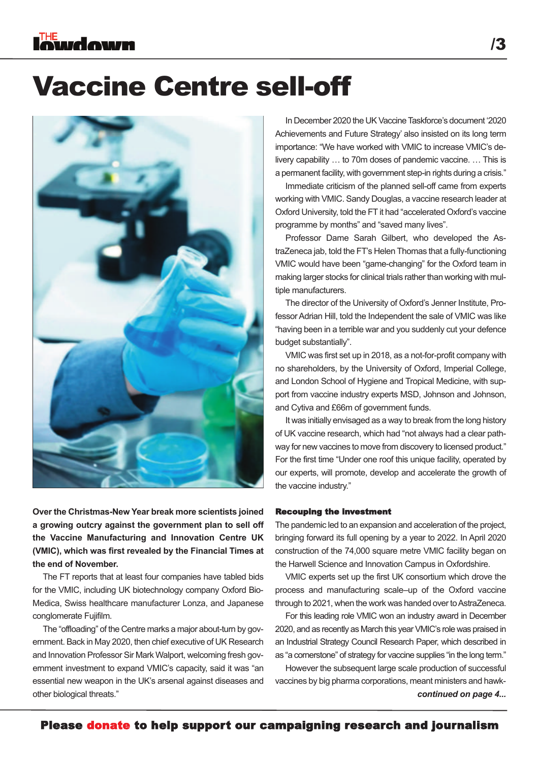### Vaccine Centre sell-off



**Over the Christmas-New Year break more scientists joined a growing outcry against the government plan to sell off the Vaccine Manufacturing and Innovation Centre UK (VMIC), which was first revealed by the Financial Times at the end of November.**

The FT reports that at least four companies have tabled bids for the VMIC, including UK biotechnology company Oxford Bio-Medica, Swiss healthcare manufacturer Lonza, and Japanese conglomerate Fujifilm.

The "offloading" of the Centre marks a major about-turn by government. Back in May 2020, then chief executive of UK Research and Innovation Professor Sir Mark Walport, welcoming fresh government investment to expand VMIC's capacity, said it was "an essential new weapon in the UK's arsenal against diseases and other biological threats."

In December 2020 the UK Vaccine Taskforce's document '2020 Achievements and Future Strategy' also insisted on its long term importance: "We have worked with VMIC to increase VMIC's delivery capability … to 70m doses of pandemic vaccine. … This is a permanent facility, with government step-in rights during a crisis."

Immediate criticism of the planned sell-off came from experts working with VMIC. Sandy Douglas, a vaccine research leader at Oxford University, told the FT it had "accelerated Oxford's vaccine programme by months" and "saved many lives".

Professor Dame Sarah Gilbert, who developed the AstraZeneca jab, told the FT's Helen Thomas that a fully-functioning VMIC would have been "game-changing" for the Oxford team in making larger stocks for clinical trials rather than working with multiple manufacturers.

The director of the University of Oxford's Jenner Institute, Professor Adrian Hill, told the Independent the sale of VMIC was like "having been in a terrible war and you suddenly cut your defence budget substantially".

VMIC was first set up in 2018, as a not-for-profit company with no shareholders, by the University of Oxford, Imperial College, and London School of Hygiene and Tropical Medicine, with support from vaccine industry experts MSD, Johnson and Johnson, and Cytiva and £66m of government funds.

It was initially envisaged as a way to break from the long history of UK vaccine research, which had "not always had a clear pathway for new vaccines to move from discovery to licensed product." For the first time "Under one roof this unique facility, operated by our experts, will promote, develop and accelerate the growth of the vaccine industry."

#### Recouping the investment

The pandemic led to an expansion and acceleration of the project, bringing forward its full opening by a year to 2022. In April 2020 construction of the 74,000 square metre VMIC facility began on the Harwell Science and Innovation Campus in Oxfordshire.

VMIC experts set up the first UK consortium which drove the process and manufacturing scale–up of the Oxford vaccine through to 2021, when the work was handed over to AstraZeneca.

For this leading role VMIC won an industry award in December 2020, and as recently as March this year VMIC's role was praised in an Industrial Strategy Council Research Paper, which described in as "a cornerstone" of strategy for vaccine supplies "in the long term."

*continued on page 4...* However the subsequent large scale production of successful vaccines by big pharma corporations, meant ministers and hawk-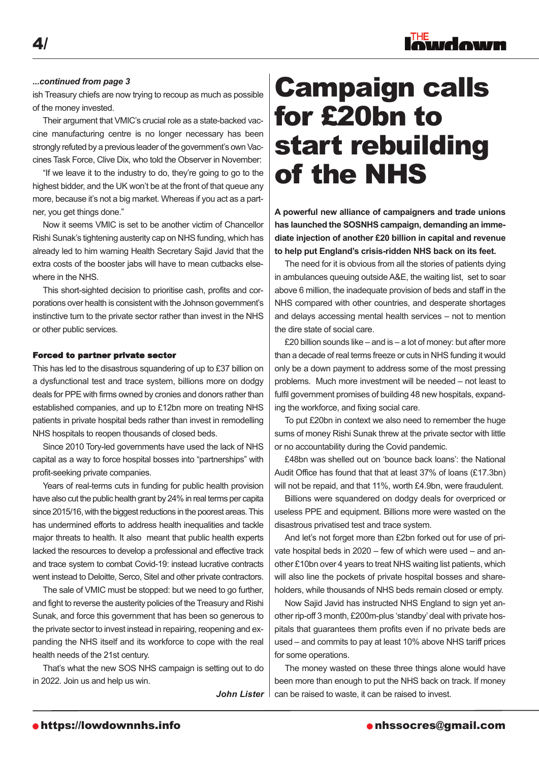

#### *...continued from page 3*

ish Treasury chiefs are now trying to recoup as much as possible of the money invested.

Their argument that VMIC's crucial role as a state-backed vaccine manufacturing centre is no longer necessary has been strongly refuted by a previous leader of the government's own Vaccines Task Force, Clive Dix, who told the Observer in November:

"If we leave it to the industry to do, they're going to go to the highest bidder, and the UK won't be at the front of that queue any more, because it's not a big market. Whereas if you act as a partner, you get things done."

Now it seems VMIC is set to be another victim of Chancellor Rishi Sunak's tightening austerity cap on NHS funding, which has already led to him warning Health Secretary Sajid Javid that the extra costs of the booster jabs will have to mean cutbacks elsewhere in the NHS.

This short-sighted decision to prioritise cash, profits and corporations over health is consistent with the Johnson government's instinctive turn to the private sector rather than invest in the NHS or other public services.

#### Forced to partner private sector

This has led to the disastrous squandering of up to £37 billion on a dysfunctional test and trace system, billions more on dodgy deals for PPE with firms owned by cronies and donors rather than established companies, and up to £12bn more on treating NHS patients in private hospital beds rather than invest in remodelling NHS hospitals to reopen thousands of closed beds.

Since 2010 Tory-led governments have used the lack of NHS capital as a way to force hospital bosses into "partnerships" with profit-seeking private companies.

Years of real-terms cuts in funding for public health provision have also cut the public health grant by 24% in real terms per capita since 2015/16, with the biggest reductions in the poorest areas. This has undermined efforts to address health inequalities and tackle major threats to health. It also meant that public health experts lacked the resources to develop a professional and effective track and trace system to combat Covid-19: instead lucrative contracts went instead to Deloitte, Serco, Sitel and other private contractors.

The sale of VMIC must be stopped: but we need to go further, and fight to reverse the austerity policies of the Treasury and Rishi Sunak, and force this government that has been so generous to the private sector to invest instead in repairing, reopening and expanding the NHS itself and its workforce to cope with the real health needs of the 21st century.

That's what the new SOS NHS campaign is setting out to do in 2022. Join us and help us win.

### Campaign calls for £20bn to start rebuilding of the NHS

**A powerful new alliance of campaigners and trade unions has launched the SOSNHS campaign, demanding an immediate injection of another £20 billion in capital and revenue to help put England's crisis-ridden NHS back on its feet.**

The need for it is obvious from all the stories of patients dying in ambulances queuing outsideA&E, the waiting list, set to soar above 6 million, the inadequate provision of beds and staff in the NHS compared with other countries, and desperate shortages and delays accessing mental health services – not to mention the dire state of social care.

£20 billion sounds like – and is – a lot of money: but after more than a decade of real terms freeze or cuts in NHS funding it would only be a down payment to address some of the most pressing problems. Much more investment will be needed – not least to fulfil government promises of building 48 new hospitals, expanding the workforce, and fixing social care.

To put £20bn in context we also need to remember the huge sums of money Rishi Sunak threw at the private sector with little or no accountability during the Covid pandemic.

£48bn was shelled out on 'bounce back loans': the National Audit Office has found that that at least 37% of loans (£17.3bn) will not be repaid, and that 11%, worth £4.9bn, were fraudulent.

Billions were squandered on dodgy deals for overpriced or useless PPE and equipment. Billions more were wasted on the disastrous privatised test and trace system.

And let's not forget more than £2bn forked out for use of private hospital beds in 2020 – few of which were used – and another £10bn over 4 years to treat NHS waiting list patients, which will also line the pockets of private hospital bosses and shareholders, while thousands of NHS beds remain closed or empty.

Now Sajid Javid has instructed NHS England to sign yet another rip-off 3 month, £200m-plus 'standby' deal with private hospitals that guarantees them profits even if no private beds are used – and commits to pay at least 10% above NHS tariff prices for some operations.

The money wasted on these three things alone would have been more than enough to put the NHS back on track. If money John Lister I can be raised to waste, it can be raised to invest.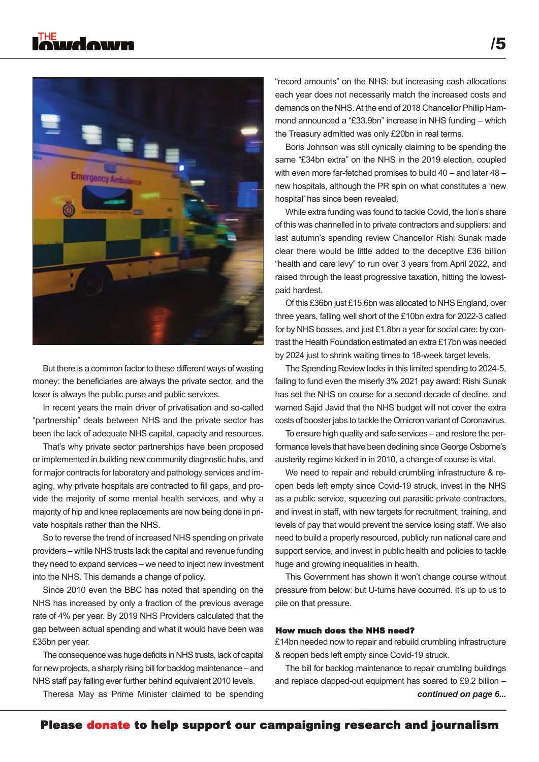

But there is a common factor to these different ways of wasting money: the beneficiaries are always the private sector, and the loser is always the public purse and public services.

In recent years the main driver of privatisation and so-called "partnership" deals between NHS and the private sector has been the lack of adequate NHS capital, capacity and resources.

That's why private sector partnerships have been proposed or implemented in building new community diagnostic hubs, and for major contracts for laboratory and pathology services and imaging, why private hospitals are contracted to fill gaps, and provide the majority of some mental health services, and why a majority of hip and knee replacements are now being done in private hospitals rather than the NHS.

So to reverse the trend of increased NHS spending on private providers – while NHS trusts lack the capital and revenue funding they need to expand services – we need to inject new investment into the NHS. This demands a change of policy.

Since 2010 even the BBC has noted that spending on the NHS has increased by only a fraction of the previous average rate of 4% per year. By 2019 NHS Providers calculated that the gap between actual spending and what it would have been was £35bn per year.

The consequence was huge deficits in NHS trusts, lack of capital for new projects, a sharply rising bill for backlog maintenance – and NHS staff pay falling ever further behind equivalent 2010 levels.

Theresa May as Prime Minister claimed to be spending

"record amounts" on the NHS: but increasing cash allocations each year does not necessarily match the increased costs and demands on the NHS.At the end of 2018 Chancellor Phillip Hammond announced a "£33.9bn" increase in NHS funding – which the Treasury admitted was only £20bn in real terms.

Boris Johnson was still cynically claiming to be spending the same "£34bn extra" on the NHS in the 2019 election, coupled with even more far-fetched promises to build 40 – and later 48 – new hospitals, although the PR spin on what constitutes a 'new hospital' has since been revealed.

While extra funding was found to tackle Covid, the lion's share of this was channelled in to private contractors and suppliers: and last autumn's spending review Chancellor Rishi Sunak made clear there would be little added to the deceptive £36 billion "health and care levy" to run over 3 years from April 2022, and raised through the least progressive taxation, hitting the lowestpaid hardest.

Of this £36bn just £15.6bn was allocated to NHS England, over three years, falling well short of the £10bn extra for 2022-3 called for by NHS bosses, and just £1.8bn a year for social care: by contrast the Health Foundation estimated an extra £17bn was needed by 2024 just to shrink waiting times to 18-week target levels.

The Spending Review locks in this limited spending to 2024-5, failing to fund even the miserly 3% 2021 pay award: Rishi Sunak has set the NHS on course for a second decade of decline, and warned Sajid Javid that the NHS budget will not cover the extra costs of booster jabs to tackle the Omicron variant of Coronavirus.

To ensure high quality and safe services – and restore the performance levels that have been declining since George Osborne's austerity regime kicked in in 2010, a change of course is vital.

We need to repair and rebuild crumbling infrastructure & reopen beds left empty since Covid-19 struck, invest in the NHS as a public service, squeezing out parasitic private contractors, and invest in staff, with new targets for recruitment, training, and levels of pay that would prevent the service losing staff. We also need to build a properly resourced, publicly run national care and support service, and invest in public health and policies to tackle huge and growing inequalities in health.

This Government has shown it won't change course without pressure from below: but U-turns have occurred. It's up to us to pile on that pressure.

#### How much does the NHS need?

£14bn needed now to repair and rebuild crumbling infrastructure & reopen beds left empty since Covid-19 struck.

The bill for backlog maintenance to repair crumbling buildings and replace clapped-out equipment has soared to £9.2 billion –

*continued on page 6...*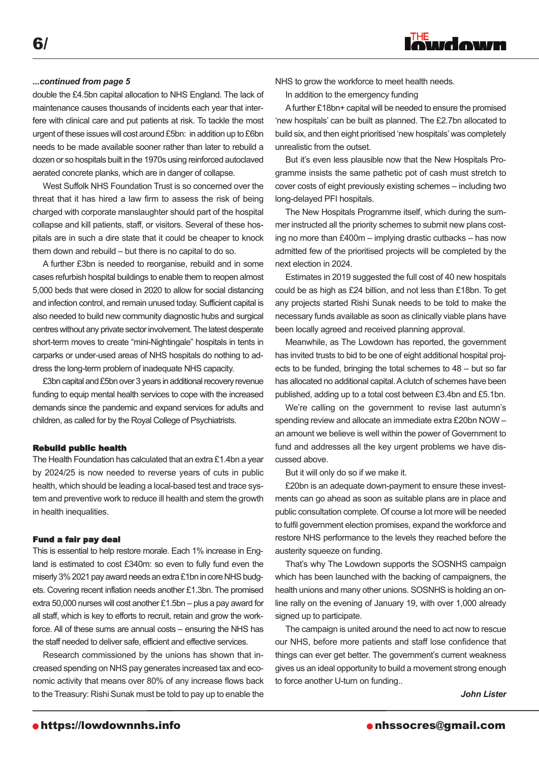#### *...continued from page 5*

double the £4.5bn capital allocation to NHS England. The lack of maintenance causes thousands of incidents each year that interfere with clinical care and put patients at risk. To tackle the most urgent of these issues will cost around £5bn: in addition up to £6bn needs to be made available sooner rather than later to rebuild a dozen or so hospitals built in the 1970s using reinforced autoclaved aerated concrete planks, which are in danger of collapse.

West Suffolk NHS Foundation Trust is so concerned over the threat that it has hired a law firm to assess the risk of being charged with corporate manslaughter should part of the hospital collapse and kill patients, staff, or visitors. Several of these hospitals are in such a dire state that it could be cheaper to knock them down and rebuild – but there is no capital to do so.

A further £3bn is needed to reorganise, rebuild and in some cases refurbish hospital buildings to enable them to reopen almost 5,000 beds that were closed in 2020 to allow for social distancing and infection control, and remain unused today. Sufficient capital is also needed to build new community diagnostic hubs and surgical centres without any private sector involvement. The latest desperate short-term moves to create "mini-Nightingale" hospitals in tents in carparks or under-used areas of NHS hospitals do nothing to address the long-term problem of inadequate NHS capacity.

£3bn capital and £5bn over 3 years in additional recovery revenue funding to equip mental health services to cope with the increased demands since the pandemic and expand services for adults and children, as called for by the Royal College of Psychiatrists.

#### Rebuild public health

The Health Foundation has calculated that an extra £1.4bn a year by 2024/25 is now needed to reverse years of cuts in public health, which should be leading a local-based test and trace system and preventive work to reduce ill health and stem the growth in health inequalities.

#### Fund a fair pay deal

This is essential to help restore morale. Each 1% increase in England is estimated to cost £340m: so even to fully fund even the miserly 3% 2021 pay award needs an extra £1bn in core NHS budgets. Covering recent inflation needs another £1.3bn. The promised extra 50,000 nurses will cost another £1.5bn – plus a pay award for all staff, which is key to efforts to recruit, retain and grow the workforce. All of these sums are annual costs – ensuring the NHS has the staff needed to deliver safe, efficient and effective services.

Research commissioned by the unions has shown that increased spending on NHS pay generates increased tax and economic activity that means over 80% of any increase flows back to the Treasury: Rishi Sunak must be told to pay up to enable the

NHS to grow the workforce to meet health needs.

In addition to the emergency funding

Afurther £18bn+ capital will be needed to ensure the promised 'new hospitals' can be built as planned. The £2.7bn allocated to build six, and then eight prioritised 'new hospitals'was completely unrealistic from the outset.

inudown

But it's even less plausible now that the New Hospitals Programme insists the same pathetic pot of cash must stretch to cover costs of eight previously existing schemes – including two long-delayed PFI hospitals.

The New Hospitals Programme itself, which during the summer instructed all the priority schemes to submit new plans costing no more than £400m – implying drastic cutbacks – has now admitted few of the prioritised projects will be completed by the next election in 2024.

Estimates in 2019 suggested the full cost of 40 new hospitals could be as high as £24 billion, and not less than £18bn. To get any projects started Rishi Sunak needs to be told to make the necessary funds available as soon as clinically viable plans have been locally agreed and received planning approval.

Meanwhile, as The Lowdown has reported, the government has invited trusts to bid to be one of eight additional hospital projects to be funded, bringing the total schemes to 48 – but so far has allocated no additional capital. A clutch of schemes have been published, adding up to a total cost between £3.4bn and £5.1bn.

We're calling on the government to revise last autumn's spending review and allocate an immediate extra £20bn NOW – an amount we believe is well within the power of Government to fund and addresses all the key urgent problems we have discussed above.

But it will only do so if we make it.

£20bn is an adequate down-payment to ensure these investments can go ahead as soon as suitable plans are in place and public consultation complete. Of course a lot more will be needed to fulfil government election promises, expand the workforce and restore NHS performance to the levels they reached before the austerity squeeze on funding.

That's why The Lowdown supports the SOSNHS campaign which has been launched with the backing of campaigners, the health unions and many other unions. SOSNHS is holding an online rally on the evening of January 19, with over 1,000 already signed up to participate.

The campaign is united around the need to act now to rescue our NHS, before more patients and staff lose confidence that things can ever get better. The government's current weakness gives us an ideal opportunity to build a movement strong enough to force another U-turn on funding..

*John Lister*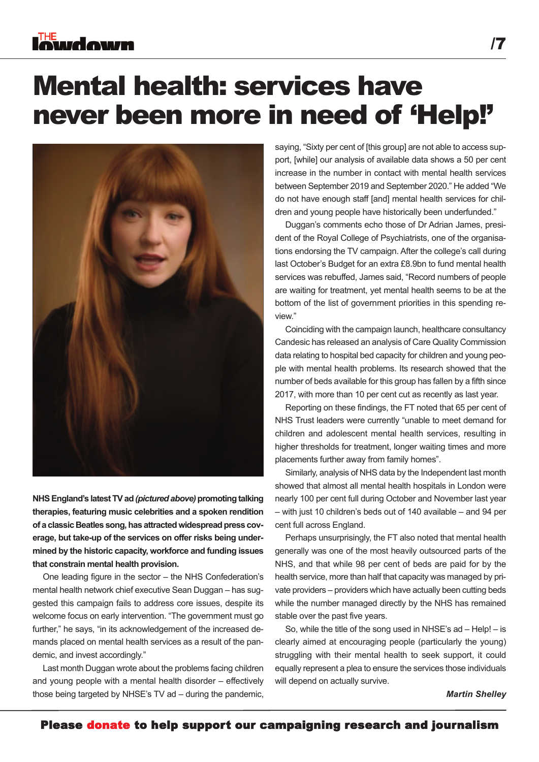### Mental health: services have never been more in need of 'Help!'



**NHSEngland's latestTVad***(picturedabove)***promotingtalking therapies, featuring music celebrities and a spoken rendition**  $\alpha$  **of** a classic Beatles song, has attracted widespread press cov**erage, but take-up of the services on offer risks being undermined by the historic capacity, workforce and funding issues that constrain mental health provision.**

One leading figure in the sector – the NHS Confederation's mental health network chief executive Sean Duggan – has suggested this campaign fails to address core issues, despite its welcome focus on early intervention. "The government must go further," he says, "in its acknowledgement of the increased demands placed on mental health services as a result of the pandemic, and invest accordingly."

Last month Duggan wrote about the problems facing children and young people with a mental health disorder – effectively those being targeted by NHSE's TV ad – during the pandemic,

saying, "Sixty per cent of [this group] are not able to access support, [while] our analysis of available data shows a 50 per cent increase in the number in contact with mental health services between September 2019 and September 2020." He added "We do not have enough staff [and] mental health services for children and young people have historically been underfunded."

Duggan's comments echo those of Dr Adrian James, president of the Royal College of Psychiatrists, one of the organisations endorsing the TV campaign. After the college's call during last October's Budget for an extra £8.9bn to fund mental health services was rebuffed, James said, "Record numbers of people are waiting for treatment, yet mental health seems to be at the bottom of the list of government priorities in this spending review."

Coinciding with the campaign launch, healthcare consultancy Candesic has released an analysis of Care Quality Commission data relating to hospital bed capacity for children and young people with mental health problems. Its research showed that the number of beds available for this group has fallen by a fifth since 2017, with more than 10 per cent cut as recently as last year.

Reporting on these findings, the FT noted that 65 per cent of NHS Trust leaders were currently "unable to meet demand for children and adolescent mental health services, resulting in higher thresholds for treatment, longer waiting times and more placements further away from family homes".

Similarly, analysis of NHS data by the Independent last month showed that almost all mental health hospitals in London were nearly 100 per cent full during October and November last year – with just 10 children's beds out of 140 available – and 94 per cent full across England.

Perhaps unsurprisingly, the FT also noted that mental health generally was one of the most heavily outsourced parts of the NHS, and that while 98 per cent of beds are paid for by the health service, more than half that capacity was managed by private providers – providers which have actually been cutting beds while the number managed directly by the NHS has remained stable over the past five years.

So, while the title of the song used in NHSE's ad – Help! – is clearly aimed at encouraging people (particularly the young) struggling with their mental health to seek support, it could equally represent a plea to ensure the services those individuals will depend on actually survive.

#### *Martin Shelley*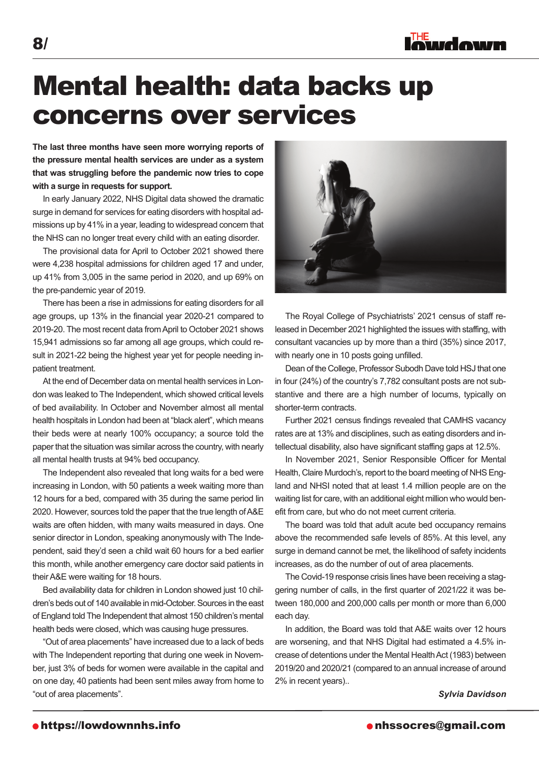### Mental health: data backs up concerns over services

**The last three months have seen more worrying reports of the pressure mental health services are under as a system that was struggling before the pandemic now tries to cope with a surge in requests for support.**

In early January 2022, NHS Digital data showed the dramatic surge in demand for services for eating disorders with hospital admissions up by 41% in a year, leading to widespread concern that the NHS can no longer treat every child with an eating disorder.

The provisional data for April to October 2021 showed there were 4,238 hospital admissions for children aged 17 and under, up 41% from 3,005 in the same period in 2020, and up 69% on the pre-pandemic year of 2019.

There has been a rise in admissions for eating disorders for all age groups, up 13% in the financial year 2020-21 compared to 2019-20. The most recent data fromApril to October 2021 shows 15,941 admissions so far among all age groups, which could result in 2021-22 being the highest year yet for people needing inpatient treatment.

At the end of December data on mental health services in London was leaked to The Independent, which showed critical levels of bed availability. In October and November almost all mental health hospitals in London had been at "black alert", which means their beds were at nearly 100% occupancy; a source told the paper that the situation was similar across the country, with nearly all mental health trusts at 94% bed occupancy.

The Independent also revealed that long waits for a bed were increasing in London, with 50 patients a week waiting more than 12 hours for a bed, compared with 35 during the same period lin 2020. However, sources told the paper that the true length of A&E waits are often hidden, with many waits measured in days. One senior director in London, speaking anonymously with The Independent, said they'd seen a child wait 60 hours for a bed earlier this month, while another emergency care doctor said patients in theirA&E were waiting for 18 hours.

Bed availability data for children in London showed just 10 children's beds out of 140 available in mid-October. Sources in the east of England told The Independent that almost 150 children's mental health beds were closed, which was causing huge pressures.

"Out of area placements" have increased due to a lack of beds with The Independent reporting that during one week in November, just 3% of beds for women were available in the capital and on one day, 40 patients had been sent miles away from home to "out of area placements".

The Royal College of Psychiatrists' 2021 census of staff released in December 2021 highlighted the issues with staffing, with consultant vacancies up by more than a third (35%) since 2017, with nearly one in 10 posts going unfilled.

Dean of the College, Professor Subodh Dave told HSJ that one in four (24%) of the country's 7,782 consultant posts are not substantive and there are a high number of locums, typically on shorter-term contracts.

Further 2021 census findings revealed that CAMHS vacancy rates are at 13% and disciplines, such as eating disorders and intellectual disability, also have significant staffing gaps at 12.5%.

In November 2021, Senior Responsible Officer for Mental Health, Claire Murdoch's, report to the board meeting of NHS England and NHSI noted that at least 1.4 million people are on the waiting list for care, with an additional eight million who would benefit from care, but who do not meet current criteria.

The board was told that adult acute bed occupancy remains above the recommended safe levels of 85%. At this level, any surge in demand cannot be met, the likelihood of safety incidents increases, as do the number of out of area placements.

The Covid-19 response crisis lines have been receiving a staggering number of calls, in the first quarter of 2021/22 it was between 180,000 and 200,000 calls per month or more than 6,000 each day.

In addition, the Board was told that A&E waits over 12 hours are worsening, and that NHS Digital had estimated a 4.5% increase of detentions under the Mental HealthAct (1983) between 2019/20 and 2020/21 (compared to an annual increase of around 2% in recent years)..

*Sylvia Davidson*



lowdown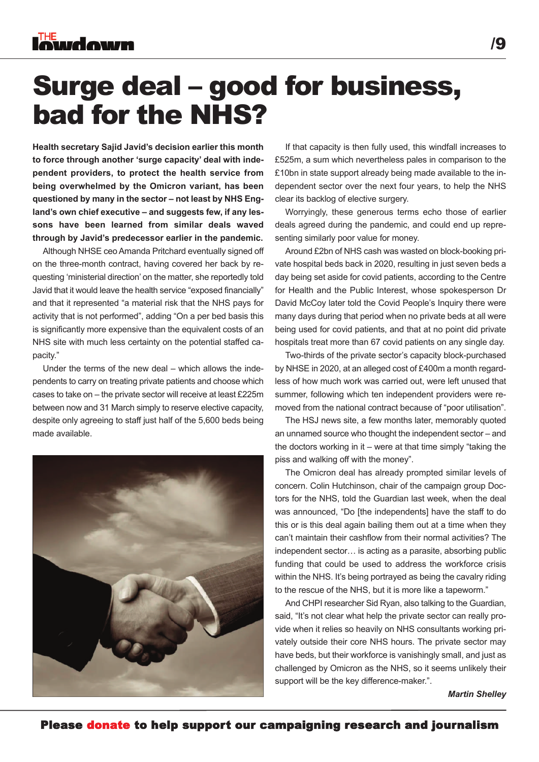### Surge deal – good for business, bad for the NHS?

**Health secretary Sajid Javid's decision earlier this month to force through another 'surge capacity' deal with independent providers, to protect the health service from being overwhelmed by the Omicron variant, has been questioned by many in the sector – not least by NHS England's own chief executive – and suggests few, if any lessons have been learned from similar deals waved through by Javid's predecessor earlier in the pandemic.**

Although NHSE ceo Amanda Pritchard eventually signed off on the three-month contract, having covered her back by requesting 'ministerial direction' on the matter, she reportedly told Javid that it would leave the health service "exposed financially" and that it represented "a material risk that the NHS pays for activity that is not performed", adding "On a per bed basis this is significantly more expensive than the equivalent costs of an NHS site with much less certainty on the potential staffed capacity."

Under the terms of the new deal – which allows the independents to carry on treating private patients and choose which cases to take on – the private sector will receive at least £225m between now and 31 March simply to reserve elective capacity, despite only agreeing to staff just half of the 5,600 beds being made available.



If that capacity is then fully used, this windfall increases to £525m, a sum which nevertheless pales in comparison to the £10bn in state support already being made available to the independent sector over the next four years, to help the NHS clear its backlog of elective surgery.

Worryingly, these generous terms echo those of earlier deals agreed during the pandemic, and could end up representing similarly poor value for money.

Around £2bn of NHS cash was wasted on block-booking private hospital beds back in 2020, resulting in just seven beds a day being set aside for covid patients, according to the Centre for Health and the Public Interest, whose spokesperson Dr David McCoy later told the Covid People's Inquiry there were many days during that period when no private beds at all were being used for covid patients, and that at no point did private hospitals treat more than 67 covid patients on any single day.

Two-thirds of the private sector's capacity block-purchased by NHSE in 2020, at an alleged cost of £400m a month regardless of how much work was carried out, were left unused that summer, following which ten independent providers were removed from the national contract because of "poor utilisation".

The HSJ news site, a few months later, memorably quoted an unnamed source who thought the independent sector – and the doctors working in it – were at that time simply "taking the piss and walking off with the money".

The Omicron deal has already prompted similar levels of concern. Colin Hutchinson, chair of the campaign group Doctors for the NHS, told the Guardian last week, when the deal was announced, "Do [the independents] have the staff to do this or is this deal again bailing them out at a time when they can't maintain their cashflow from their normal activities? The independent sector… is acting as a parasite, absorbing public funding that could be used to address the workforce crisis within the NHS. It's being portrayed as being the cavalry riding to the rescue of the NHS, but it is more like a tapeworm."

And CHPI researcher Sid Ryan, also talking to the Guardian, said, "It's not clear what help the private sector can really provide when it relies so heavily on NHS consultants working privately outside their core NHS hours. The private sector may have beds, but their workforce is vanishingly small, and just as challenged by Omicron as the NHS, so it seems unlikely their support will be the key difference-maker.".

*Martin Shelley*

/9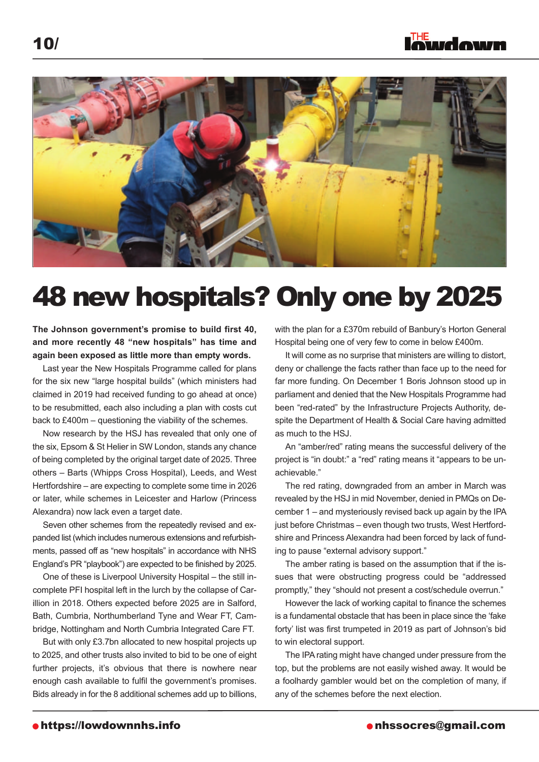

### 48 new hospitals? Only one by 2025

### **The Johnson government's promise to build first 40, and more recently 48 "new hospitals" has time and again been exposed as little more than empty words.**

Last year the New Hospitals Programme called for plans for the six new "large hospital builds" (which ministers had claimed in 2019 had received funding to go ahead at once) to be resubmitted, each also including a plan with costs cut back to £400m – questioning the viability of the schemes.

Now research by the HSJ has revealed that only one of the six, Epsom & St Helier in SW London, stands any chance of being completed by the original target date of 2025. Three others – Barts (Whipps Cross Hospital), Leeds, and West Hertfordshire – are expecting to complete some time in 2026 or later, while schemes in Leicester and Harlow (Princess Alexandra) now lack even a target date.

Seven other schemes from the repeatedly revised and expanded list (which includes numerous extensions and refurbishments, passed off as "new hospitals" in accordance with NHS England's PR "playbook") are expected to be finished by 2025.

One of these is Liverpool University Hospital – the still incomplete PFI hospital left in the lurch by the collapse of Carillion in 2018. Others expected before 2025 are in Salford, Bath, Cumbria, Northumberland Tyne and Wear FT, Cambridge, Nottingham and North Cumbria Integrated Care FT.

But with only £3.7bn allocated to new hospital projects up to 2025, and other trusts also invited to bid to be one of eight further projects, it's obvious that there is nowhere near enough cash available to fulfil the government's promises. Bids already in for the 8 additional schemes add up to billions, with the plan for a £370m rebuild of Banbury's Horton General Hospital being one of very few to come in below £400m.

It will come as no surprise that ministers are willing to distort, deny or challenge the facts rather than face up to the need for far more funding. On December 1 Boris Johnson stood up in parliament and denied that the New Hospitals Programme had been "red-rated" by the Infrastructure Projects Authority, despite the Department of Health & Social Care having admitted as much to the HSJ.

An "amber/red" rating means the successful delivery of the project is "in doubt:" a "red" rating means it "appears to be unachievable."

The red rating, downgraded from an amber in March was revealed by the HSJ in mid November, denied in PMQs on December 1 – and mysteriously revised back up again by the IPA just before Christmas – even though two trusts, West Hertfordshire and Princess Alexandra had been forced by lack of funding to pause "external advisory support."

The amber rating is based on the assumption that if the issues that were obstructing progress could be "addressed promptly," they "should not present a cost/schedule overrun."

However the lack of working capital to finance the schemes is a fundamental obstacle that has been in place since the 'fake forty' list was first trumpeted in 2019 as part of Johnson's bid to win electoral support.

The IPArating might have changed under pressure from the top, but the problems are not easily wished away. It would be a foolhardy gambler would bet on the completion of many, if any of the schemes before the next election.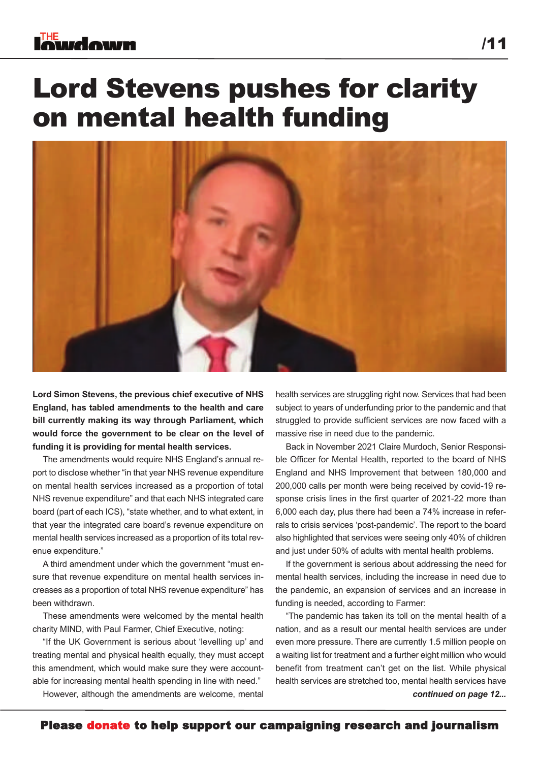### **Iowdown**

### Lord Stevens pushes for clarity on mental health funding



**Lord Simon Stevens, the previous chief executive of NHS England, has tabled amendments to the health and care bill currently making its way through Parliament, which would force the government to be clear on the level of funding it is providing for mental health services.**

The amendments would require NHS England's annual report to disclose whether "in that year NHS revenue expenditure on mental health services increased as a proportion of total NHS revenue expenditure" and that each NHS integrated care board (part of each ICS), "state whether, and to what extent, in that year the integrated care board's revenue expenditure on mental health services increased as a proportion of its total revenue expenditure."

A third amendment under which the government "must ensure that revenue expenditure on mental health services increases as a proportion of total NHS revenue expenditure" has been withdrawn.

These amendments were welcomed by the mental health charity MIND, with Paul Farmer, Chief Executive, noting:

"If the UK Government is serious about 'levelling up' and treating mental and physical health equally, they must accept this amendment, which would make sure they were accountable for increasing mental health spending in line with need."

However, although the amendments are welcome, mental

health services are struggling right now. Services that had been subject to years of underfunding prior to the pandemic and that struggled to provide sufficient services are now faced with a massive rise in need due to the pandemic.

Back in November 2021 Claire Murdoch, Senior Responsible Officer for Mental Health, reported to the board of NHS England and NHS Improvement that between 180,000 and 200,000 calls per month were being received by covid-19 response crisis lines in the first quarter of 2021-22 more than 6,000 each day, plus there had been a 74% increase in referrals to crisis services 'post-pandemic'. The report to the board also highlighted that services were seeing only 40% of children and just under 50% of adults with mental health problems.

If the government is serious about addressing the need for mental health services, including the increase in need due to the pandemic, an expansion of services and an increase in funding is needed, according to Farmer:

"The pandemic has taken its toll on the mental health of a nation, and as a result our mental health services are under even more pressure. There are currently 1.5 million people on a waiting list for treatment and a further eight million who would benefit from treatment can't get on the list. While physical health services are stretched too, mental health services have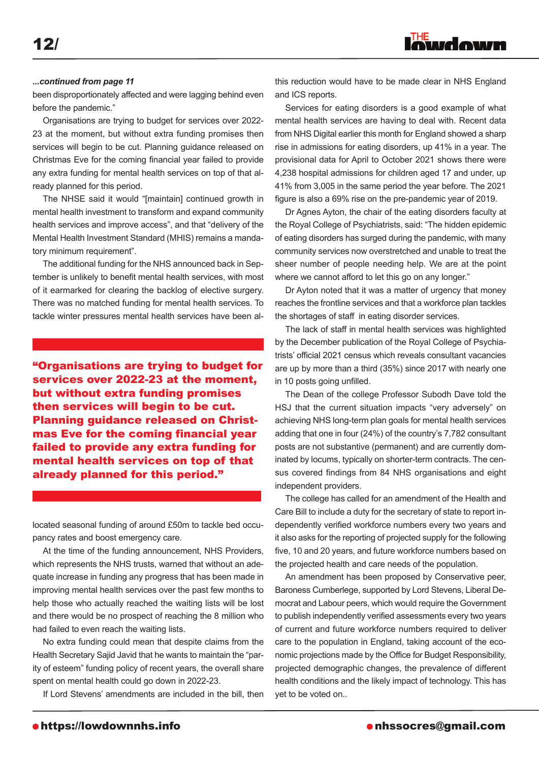#### *...continued from page 11*

been disproportionately affected and were lagging behind even before the pandemic."

Organisations are trying to budget for services over 2022- 23 at the moment, but without extra funding promises then services will begin to be cut. Planning guidance released on Christmas Eve for the coming financial year failed to provide any extra funding for mental health services on top of that already planned for this period.

The NHSE said it would "[maintain] continued growth in mental health investment to transform and expand community health services and improve access", and that "delivery of the Mental Health Investment Standard (MHIS) remains a mandatory minimum requirement".

The additional funding for the NHS announced back in September is unlikely to benefit mental health services, with most of it earmarked for clearing the backlog of elective surgery. There was no matched funding for mental health services. To tackle winter pressures mental health services have been al-

"Organisations are trying to budget for services over 2022-23 at the moment, but without extra funding promises then services will begin to be cut. Planning guidance released on Christmas Eve for the coming financial year failed to provide any extra funding for mental health services on top of that already planned for this period."

located seasonal funding of around £50m to tackle bed occupancy rates and boost emergency care.

At the time of the funding announcement, NHS Providers, which represents the NHS trusts, warned that without an adequate increase in funding any progress that has been made in improving mental health services over the past few months to help those who actually reached the waiting lists will be lost and there would be no prospect of reaching the 8 million who had failed to even reach the waiting lists.

No extra funding could mean that despite claims from the Health Secretary Sajid Javid that he wants to maintain the "parity of esteem" funding policy of recent years, the overall share spent on mental health could go down in 2022-23.

If Lord Stevens' amendments are included in the bill, then

this reduction would have to be made clear in NHS England and ICS reports.

inudown

Services for eating disorders is a good example of what mental health services are having to deal with. Recent data from NHS Digital earlier this month for England showed a sharp rise in admissions for eating disorders, up 41% in a year. The provisional data for April to October 2021 shows there were 4,238 hospital admissions for children aged 17 and under, up 41% from 3,005 in the same period the year before. The 2021 figure is also a 69% rise on the pre-pandemic year of 2019.

Dr Agnes Ayton, the chair of the eating disorders faculty at the Royal College of Psychiatrists, said: "The hidden epidemic of eating disorders has surged during the pandemic, with many community services now overstretched and unable to treat the sheer number of people needing help. We are at the point where we cannot afford to let this go on any longer."

Dr Ayton noted that it was a matter of urgency that money reaches the frontline services and that a workforce plan tackles the shortages of staff in eating disorder services.

The lack of staff in mental health services was highlighted by the December publication of the Royal College of Psychiatrists' official 2021 census which reveals consultant vacancies are up by more than a third (35%) since 2017 with nearly one in 10 posts going unfilled.

The Dean of the college Professor Subodh Dave told the HSJ that the current situation impacts "very adversely" on achieving NHS long-term plan goals for mental health services adding that one in four (24%) of the country's 7,782 consultant posts are not substantive (permanent) and are currently dominated by locums, typically on shorter-term contracts. The census covered findings from 84 NHS organisations and eight independent providers.

The college has called for an amendment of the Health and Care Bill to include a duty for the secretary of state to report independently verified workforce numbers every two years and it also asks for the reporting of projected supply for the following five, 10 and 20 years, and future workforce numbers based on the projected health and care needs of the population.

An amendment has been proposed by Conservative peer, Baroness Cumberlege, supported by Lord Stevens, Liberal Democrat and Labour peers, which would require the Government to publish independently verified assessments every two years of current and future workforce numbers required to deliver care to the population in England, taking account of the economic projections made by the Office for Budget Responsibility, projected demographic changes, the prevalence of different health conditions and the likely impact of technology. This has yet to be voted on..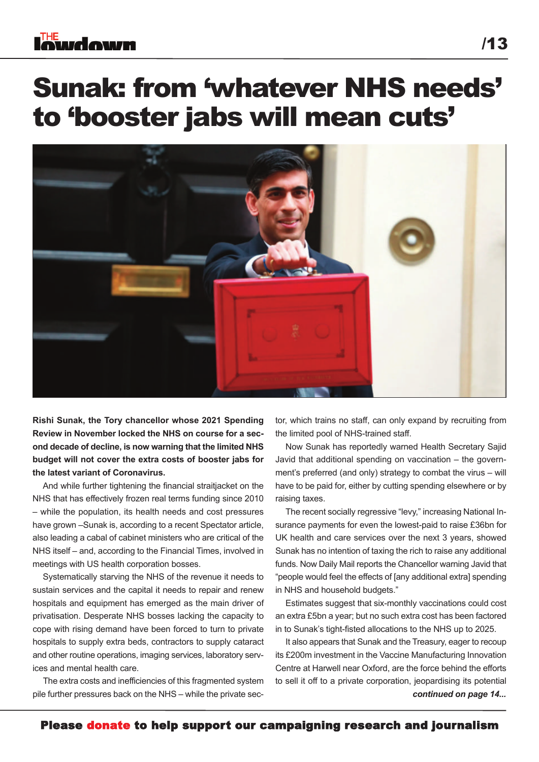### **Iowdown**

### Sunak: from 'whatever NHS needs' to 'booster jabs will mean cuts'



**Rishi Sunak, the Tory chancellor whose 2021 Spending Review in November locked the NHS on course for a second decade of decline, is now warning that the limited NHS budget will not cover the extra costs of booster jabs for the latest variant of Coronavirus.**

And while further tightening the financial straitjacket on the NHS that has effectively frozen real terms funding since 2010 – while the population, its health needs and cost pressures have grown –Sunak is, according to a recent Spectator article, also leading a cabal of cabinet ministers who are critical of the NHS itself – and, according to the Financial Times, involved in meetings with US health corporation bosses.

Systematically starving the NHS of the revenue it needs to sustain services and the capital it needs to repair and renew hospitals and equipment has emerged as the main driver of privatisation. Desperate NHS bosses lacking the capacity to cope with rising demand have been forced to turn to private hospitals to supply extra beds, contractors to supply cataract and other routine operations, imaging services, laboratory services and mental health care.

The extra costs and inefficiencies of this fragmented system pile further pressures back on the NHS – while the private sector, which trains no staff, can only expand by recruiting from the limited pool of NHS-trained staff.

Now Sunak has reportedly warned Health Secretary Sajid Javid that additional spending on vaccination – the government's preferred (and only) strategy to combat the virus – will have to be paid for, either by cutting spending elsewhere or by raising taxes.

The recent socially regressive "levy," increasing National Insurance payments for even the lowest-paid to raise £36bn for UK health and care services over the next 3 years, showed Sunak has no intention of taxing the rich to raise any additional funds. Now Daily Mail reports the Chancellor warning Javid that "people would feel the effects of [any additional extra] spending in NHS and household budgets."

Estimates suggest that six-monthly vaccinations could cost an extra £5bn a year; but no such extra cost has been factored in to Sunak's tight-fisted allocations to the NHS up to 2025.

It also appears that Sunak and the Treasury, eager to recoup its £200m investment in the Vaccine Manufacturing Innovation Centre at Harwell near Oxford, are the force behind the efforts to sell it off to a private corporation, jeopardising its potential *continued on page 14...*